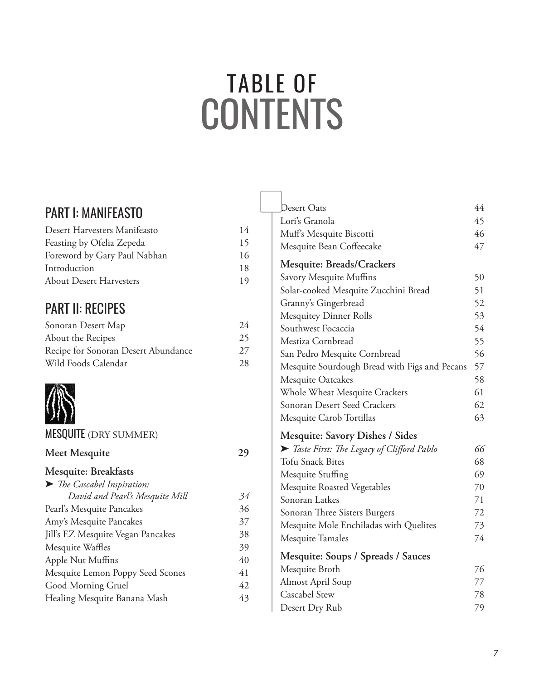# **TABLE OF CONTENTS**

29

# **PART I: MANIFEASTO**

| Desert Harvesters Manifeasto   | 14 |
|--------------------------------|----|
| Feasting by Ofelia Zepeda      | 15 |
| Foreword by Gary Paul Nabhan   | 16 |
| Introduction                   | 18 |
| <b>About Desert Harvesters</b> | 19 |
|                                |    |

# **PART II: RECIPES**

| Sonoran Desert Map                  | 24 |
|-------------------------------------|----|
| About the Recipes                   | 25 |
| Recipe for Sonoran Desert Abundance | 27 |
| Wild Foods Calendar                 | 28 |

## **MESQUITE** (DRY SUMMER)

# Meet Mesquite

#### Mesquite: Breakfasts

| > The Cascabel Inspiration:       |    |
|-----------------------------------|----|
| David and Pearl's Mesquite Mill   | 34 |
| Pearl's Mesquite Pancakes         | 36 |
| Amy's Mesquite Pancakes           | 37 |
| Jill's EZ Mesquite Vegan Pancakes | 38 |
| Mesquite Waffles                  | 39 |
| Apple Nut Muffins                 | 40 |
| Mesquite Lemon Poppy Seed Scones  | 41 |
| Good Morning Gruel                | 42 |
| Healing Mesquite Banana Mash      | 43 |
|                                   |    |

| Desert Oats                                   | 44 |
|-----------------------------------------------|----|
| Lori's Granola                                | 45 |
| Muff's Mesquite Biscotti                      | 46 |
| Mesquite Bean Coffeecake                      | 47 |
| Mesquite: Breads/Crackers                     |    |
| Savory Mesquite Muffins                       | 50 |
| Solar-cooked Mesquite Zucchini Bread          | 51 |
| Granny's Gingerbread                          | 52 |
| <b>Mesquitey Dinner Rolls</b>                 | 53 |
| Southwest Focaccia                            | 54 |
| Mestiza Cornbread                             | 55 |
| San Pedro Mesquite Cornbread                  | 56 |
| Mesquite Sourdough Bread with Figs and Pecans | 57 |
| Mesquite Oatcakes                             | 58 |
| Whole Wheat Mesquite Crackers                 | 61 |
| Sonoran Desert Seed Crackers                  | 62 |
| Mesquite Carob Tortillas                      | 63 |
| <b>Mesquite: Savory Dishes / Sides</b>        |    |
| Taste First: The Legacy of Clifford Pablo     | 66 |
| <b>Tofu Snack Bites</b>                       | 68 |
| Mesquite Stuffing                             | 69 |
| Mesquite Roasted Vegetables                   | 70 |
| Sonoran Latkes                                | 71 |
| Sonoran Three Sisters Burgers                 | 72 |
| Mesquite Mole Enchiladas with Quelites        | 73 |
| Mesquite Tamales                              | 74 |
| Mesquite: Soups / Spreads / Sauces            |    |
| Mesquite Broth                                | 76 |
| <b>Almost April Soup</b>                      | 77 |
| Cascabel Stew                                 | 78 |
| Desert Dry Rub                                | 79 |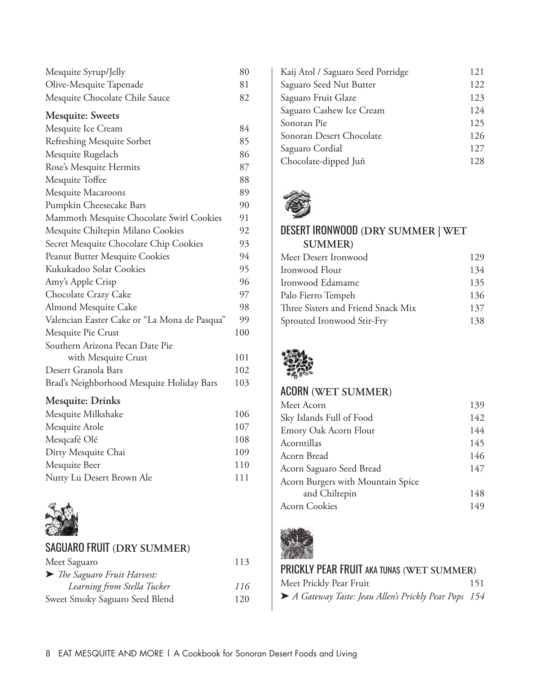| Mesquite Syrup/Jelly           | 80 |
|--------------------------------|----|
| Olive-Mesquite Tapenade        | 81 |
| Mesquite Chocolate Chile Sauce | 82 |

#### **Mesquite: Sweets**

| Mesquite Ice Cream                           | 84  |
|----------------------------------------------|-----|
| Refreshing Mesquite Sorbet                   | 85  |
| Mesquite Rugelach                            | 86  |
| Rose's Mesquite Hermits                      | 87  |
| Mesquite Toffee                              | 88  |
| Mesquite Macaroons                           | 89  |
| Pumpkin Cheesecake Bars                      | 90  |
| Mammoth Mesquite Chocolate Swirl Cookies     | 91  |
| Mesquite Chiltepin Milano Cookies            | 92  |
| Secret Mesquite Chocolate Chip Cookies       | 93  |
| Peanut Butter Mesquite Cookies               | 94  |
| Kukukadoo Solar Cookies                      | 95  |
| Amy's Apple Crisp                            | 96  |
| Chocolate Crazy Cake                         | 97  |
| Almond Mesquite Cake                         | 98  |
| Valencian Easter Cake or "La Mona de Pasqua" | 99  |
| Mesquite Pie Crust                           | 100 |
| Southern Arizona Pecan Date Pie              |     |
| with Mesquite Crust                          | 101 |
| Desert Granola Bars                          | 102 |
| Brad's Neighborhood Mesquite Holiday Bars    | 103 |
|                                              |     |

# **Mesquite: Drinks**

| Mesquite Milkshake        | 106 |
|---------------------------|-----|
| Mesquite Atole            | 107 |
| Mesqcafé Olé              | 108 |
| Dirty Mesquite Chai       | 109 |
| Mesquite Beer             | 110 |
| Nutty Lu Desert Brown Ale | 111 |
|                           |     |



# SAguARO FRuIT **(DRY SUMMER)**

| Meet Saguaro                   | 113 |
|--------------------------------|-----|
| > The Saguaro Fruit Harvest:   |     |
| Learning from Stella Tucker    | 116 |
| Sweet Smoky Saguaro Seed Blend | 120 |

| Kaij Atol / Saguaro Seed Porridge | 121 |
|-----------------------------------|-----|
| Saguaro Seed Nut Butter           | 122 |
| Saguaro Fruit Glaze               | 123 |
| Saguaro Cashew Ice Cream          | 124 |
| Sonoran Pie                       | 125 |
| Sonoran Desert Chocolate          | 126 |
| Saguaro Cordial                   | 127 |
| Chocolate-dipped Juñ              | 128 |



# DESERT IRONwOOD **(DRY SUMMER | WET SUMMER)**

| Meet Desert Ironwood               | 129 |
|------------------------------------|-----|
| Ironwood Flour                     | 134 |
| Ironwood Edamame                   | 135 |
| Palo Fierro Tempeh                 | 136 |
| Three Sisters and Friend Snack Mix | 137 |
| Sprouted Ironwood Stir-Fry         | 138 |
|                                    |     |



# AcORN **(WET SUMMER)**

| Meet Acorn                        | 139 |
|-----------------------------------|-----|
| Sky Islands Full of Food          | 142 |
| Emory Oak Acorn Flour             | 144 |
| Acorntillas                       | 145 |
| Acorn Bread                       | 146 |
| Acorn Saguaro Seed Bread          | 147 |
| Acorn Burgers with Mountain Spice |     |
| and Chiltepin                     | 148 |
| <b>Acorn Cookies</b>              | 149 |



# PRIckly PEAR FRuIT AkA TuNAS **(WET SUMMER)**

| Meet Prickly Pear Fruit                             | 151 |
|-----------------------------------------------------|-----|
| A Gateway Taste: Jeau Allen's Prickly Pear Pops 154 |     |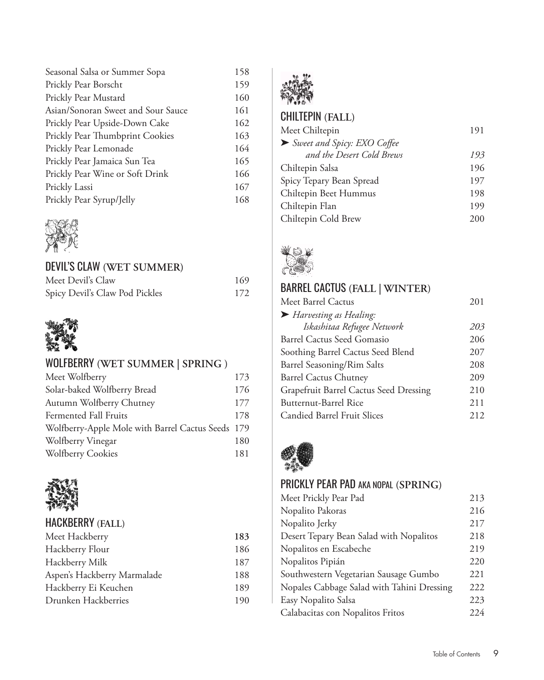| 158 |
|-----|
| 159 |
| 160 |
| 161 |
| 162 |
| 163 |
| 164 |
| 165 |
| 166 |
| 167 |
| 168 |
|     |



# DEVIL'S CLAW (WET SUMMER)

| Meet Devil's Claw              | 169 |
|--------------------------------|-----|
| Spicy Devil's Claw Pod Pickles | 172 |



# WOLFBERRY (WET SUMMER | SPRING)

| Meet Wolfberry                                    | 173 |
|---------------------------------------------------|-----|
| Solar-baked Wolfberry Bread                       | 176 |
| Autumn Wolfberry Chutney                          | 177 |
| Fermented Fall Fruits                             | 178 |
| Wolfberry-Apple Mole with Barrel Cactus Seeds 179 |     |
| Wolfberry Vinegar                                 | 180 |
| <b>Wolfberry Cookies</b>                          | 181 |



#### HACKBERRY (FALL)

| Meet Hackberry              | 183 |
|-----------------------------|-----|
| Hackberry Flour             | 186 |
| Hackberry Milk              | 187 |
| Aspen's Hackberry Marmalade | 188 |
| Hackberry Ei Keuchen        | 189 |
| Drunken Hackberries         | 190 |
|                             |     |



# **CHILTEPIN (FALL)**

| Meet Chiltepin              | 191 |
|-----------------------------|-----|
| Sweet and Spicy: EXO Coffee |     |
| and the Desert Cold Brews   | 193 |
| Chiltepin Salsa             | 196 |
| Spicy Tepary Bean Spread    | 197 |
| Chiltepin Beet Hummus       | 198 |
| Chiltepin Flan              | 199 |
| Chiltepin Cold Brew         | 200 |



# **BARREL CACTUS (FALL | WINTER)**

| Meet Barrel Cactus                     | 201 |
|----------------------------------------|-----|
| Harvesting as Healing:                 |     |
| Iskashitaa Refugee Network             | 203 |
| Barrel Cactus Seed Gomasio             | 206 |
| Soothing Barrel Cactus Seed Blend      | 207 |
| Barrel Seasoning/Rim Salts             | 208 |
| <b>Barrel Cactus Chutney</b>           | 209 |
| Grapefruit Barrel Cactus Seed Dressing | 210 |
| Butternut-Barrel Rice                  | 211 |
| Candied Barrel Fruit Slices            | 212 |



# PRICKLY PEAR PAD AKA NOPAL (SPRING)

| Meet Prickly Pear Pad                      | 213 |
|--------------------------------------------|-----|
| Nopalito Pakoras                           | 216 |
| Nopalito Jerky                             | 217 |
| Desert Tepary Bean Salad with Nopalitos    | 218 |
| Nopalitos en Escabeche                     | 219 |
| Nopalitos Pipián                           | 220 |
| Southwestern Vegetarian Sausage Gumbo      | 221 |
| Nopales Cabbage Salad with Tahini Dressing | 222 |
| Easy Nopalito Salsa                        | 223 |
| Calabacitas con Nopalitos Fritos           | 224 |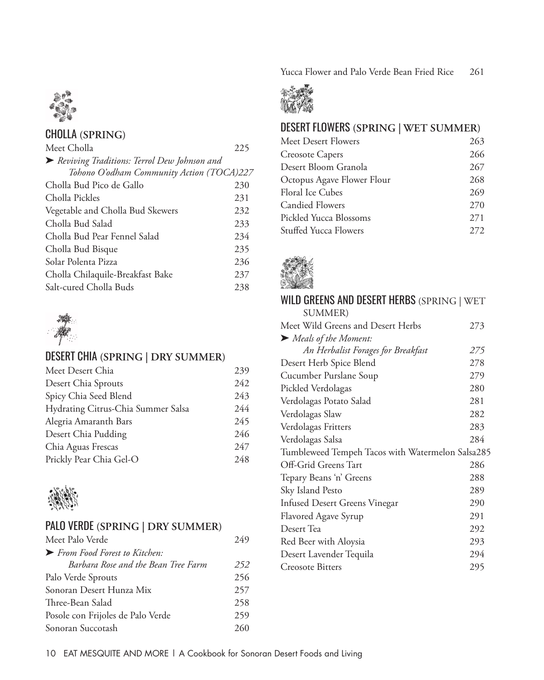Yucca Flower and Palo Verde Bean Fried Rice 261



# cHOllA **(SPRING)**

| Meet Cholla                                 | 225 |
|---------------------------------------------|-----|
| Reviving Traditions: Terrol Dew Johnson and |     |
| Tohono O'odham Community Action (TOCA)227   |     |
| Cholla Bud Pico de Gallo                    | 230 |
| Cholla Pickles                              | 231 |
| Vegetable and Cholla Bud Skewers            | 232 |
| Cholla Bud Salad                            | 233 |
| Cholla Bud Pear Fennel Salad                | 234 |
| Cholla Bud Bisque                           | 235 |
| Solar Polenta Pizza                         | 236 |
| Cholla Chilaquile-Breakfast Bake            | 237 |
| Salt-cured Cholla Buds                      | 238 |



# DESERT cHIA **(SPRING | DRY SUMMER)**

| Meet Desert Chia                   | 239 |
|------------------------------------|-----|
| Desert Chia Sprouts                | 242 |
| Spicy Chia Seed Blend              | 243 |
| Hydrating Citrus-Chia Summer Salsa | 244 |
| Alegria Amaranth Bars              | 245 |
| Desert Chia Pudding                | 246 |
| Chia Aguas Frescas                 | 247 |
| Prickly Pear Chia Gel-O            | 248 |



## PAlO vERDE **(SPRING | DRY SUMMER)**

| Meet Palo Verde                                    | 249 |
|----------------------------------------------------|-----|
| $\blacktriangleright$ From Food Forest to Kitchen: |     |
| Barbara Rose and the Bean Tree Farm                | 252 |
| Palo Verde Sprouts                                 | 256 |
| Sonoran Desert Hunza Mix                           | 257 |
| Three-Bean Salad                                   | 258 |
| Posole con Frijoles de Palo Verde                  | 259 |
| Sonoran Succotash                                  | 260 |



## DESERT FlOwERS **(SPRING | WET SUMMER)**

| Meet Desert Flowers          | 263   |
|------------------------------|-------|
| <b>Creosote Capers</b>       | 266   |
| Desert Bloom Granola         | 267   |
| Octopus Agave Flower Flour   | 268   |
| <b>Floral Ice Cubes</b>      | 269   |
| <b>Candied Flowers</b>       | 270   |
| Pickled Yucca Blossoms       | 271   |
| <b>Stuffed Yucca Flowers</b> | 2.72. |



#### WILD GREENS AND DESERT HERBS (SPRING | WET SUMMER)

Meet Wild Greens and Desert Herbs 273 ➤ *Meals of the Moment: An Herbalist Forages for Breakfast 275* Desert Herb Spice Blend 278 Cucumber Purslane Soup 279 Pickled Verdolagas 280 Verdolagas Potato Salad 281 Verdolagas Slaw 282 Verdolagas Fritters 283 Verdolagas Salsa 284 Tumbleweed Tempeh Tacos with Watermelon Salsa285 Off-Grid Greens Tart 286 Tepary Beans 'n' Greens 288 Sky Island Pesto 289 Infused Desert Greens Vinegar 290 Flavored Agave Syrup 291 Desert Tea 292 Red Beer with Aloysia 293 Desert Lavender Tequila 294 Creosote Bitters 295